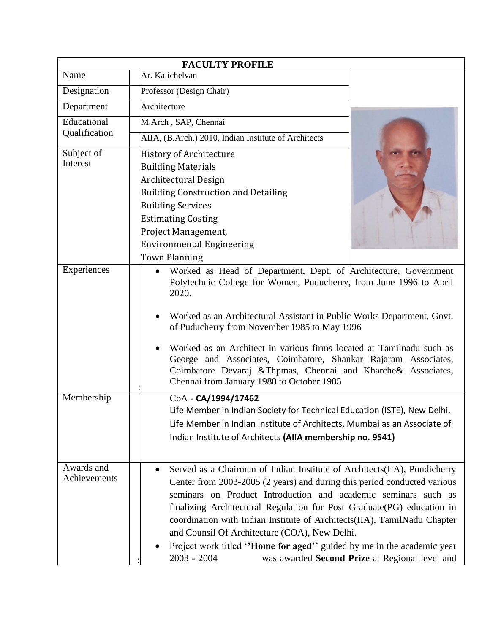|                              | <b>FACULTY PROFILE</b>                                                                                                                                                                                                                                                                                                                                                                                                                                                                                                                                                                 |
|------------------------------|----------------------------------------------------------------------------------------------------------------------------------------------------------------------------------------------------------------------------------------------------------------------------------------------------------------------------------------------------------------------------------------------------------------------------------------------------------------------------------------------------------------------------------------------------------------------------------------|
| Name                         | Ar. Kalichelvan                                                                                                                                                                                                                                                                                                                                                                                                                                                                                                                                                                        |
| Designation                  | Professor (Design Chair)                                                                                                                                                                                                                                                                                                                                                                                                                                                                                                                                                               |
| Department                   | Architecture                                                                                                                                                                                                                                                                                                                                                                                                                                                                                                                                                                           |
| Educational<br>Qualification | M.Arch, SAP, Chennai                                                                                                                                                                                                                                                                                                                                                                                                                                                                                                                                                                   |
|                              | AIIA, (B.Arch.) 2010, Indian Institute of Architects                                                                                                                                                                                                                                                                                                                                                                                                                                                                                                                                   |
| Subject of<br>Interest       | History of Architecture                                                                                                                                                                                                                                                                                                                                                                                                                                                                                                                                                                |
|                              | <b>Building Materials</b>                                                                                                                                                                                                                                                                                                                                                                                                                                                                                                                                                              |
|                              | Architectural Design                                                                                                                                                                                                                                                                                                                                                                                                                                                                                                                                                                   |
|                              | <b>Building Construction and Detailing</b>                                                                                                                                                                                                                                                                                                                                                                                                                                                                                                                                             |
|                              | <b>Building Services</b>                                                                                                                                                                                                                                                                                                                                                                                                                                                                                                                                                               |
|                              | <b>Estimating Costing</b>                                                                                                                                                                                                                                                                                                                                                                                                                                                                                                                                                              |
|                              | Project Management,                                                                                                                                                                                                                                                                                                                                                                                                                                                                                                                                                                    |
|                              | <b>Environmental Engineering</b>                                                                                                                                                                                                                                                                                                                                                                                                                                                                                                                                                       |
|                              | Town Planning                                                                                                                                                                                                                                                                                                                                                                                                                                                                                                                                                                          |
| Experiences                  | Worked as Head of Department, Dept. of Architecture, Government<br>$\bullet$<br>Polytechnic College for Women, Puducherry, from June 1996 to April<br>2020.<br>Worked as an Architectural Assistant in Public Works Department, Govt.<br>of Puducherry from November 1985 to May 1996                                                                                                                                                                                                                                                                                                  |
|                              | Worked as an Architect in various firms located at Tamilnadu such as<br>George and Associates, Coimbatore, Shankar Rajaram Associates,<br>Coimbatore Devaraj & Thpmas, Chennai and Kharche & Associates,<br>Chennai from January 1980 to October 1985                                                                                                                                                                                                                                                                                                                                  |
| Membership                   | CoA - CA/1994/17462<br>Life Member in Indian Society for Technical Education (ISTE), New Delhi.<br>Life Member in Indian Institute of Architects, Mumbai as an Associate of                                                                                                                                                                                                                                                                                                                                                                                                            |
|                              | Indian Institute of Architects (AIIA membership no. 9541)                                                                                                                                                                                                                                                                                                                                                                                                                                                                                                                              |
| Awards and<br>Achievements   | Served as a Chairman of Indian Institute of Architects(IIA), Pondicherry<br>$\bullet$<br>Center from 2003-2005 (2 years) and during this period conducted various<br>seminars on Product Introduction and academic seminars such as<br>finalizing Architectural Regulation for Post Graduate(PG) education in<br>coordination with Indian Institute of Architects(IIA), TamilNadu Chapter<br>and Counsil Of Architecture (COA), New Delhi.<br>Project work titled "Home for aged" guided by me in the academic year<br>$2003 - 2004$<br>was awarded Second Prize at Regional level and |